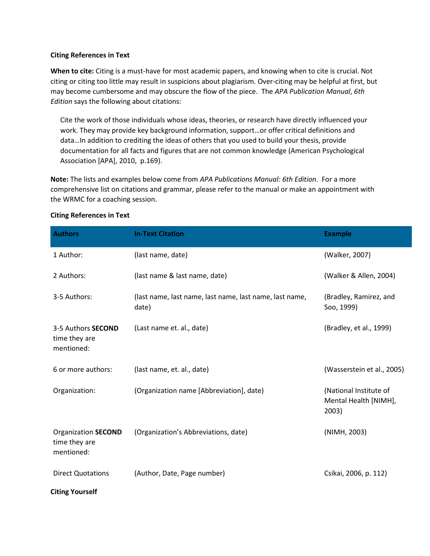## **Citing References in Text**

**When to cite:** Citing is a must-have for most academic papers, and knowing when to cite is crucial. Not citing or citing too little may result in suspicions about plagiarism. Over-citing may be helpful at first, but may become cumbersome and may obscure the flow of the piece. The *APA Publication Manual*, *6th Edition* says the following about citations:

Cite the work of those individuals whose ideas, theories, or research have directly influenced your work. They may provide key background information, support…or offer critical definitions and data…In addition to crediting the ideas of others that you used to build your thesis, provide documentation for all facts and figures that are not common knowledge (American Psychological Association [APA], 2010, p.169).

**Note:** The lists and examples below come from *APA Publications Manual: 6th Edition*. For a more comprehensive list on citations and grammar, please refer to the manual or make an appointment with the WRMC for a coaching session.

| <b>Authors</b>                                            | <b>In-Text Citation</b>                                          | <b>Example</b>                                           |
|-----------------------------------------------------------|------------------------------------------------------------------|----------------------------------------------------------|
| 1 Author:                                                 | (last name, date)                                                | (Walker, 2007)                                           |
| 2 Authors:                                                | (last name & last name, date)                                    | (Walker & Allen, 2004)                                   |
| 3-5 Authors:                                              | (last name, last name, last name, last name, last name,<br>date) | (Bradley, Ramirez, and<br>Soo, 1999)                     |
| 3-5 Authors <b>SECOND</b><br>time they are<br>mentioned:  | (Last name et. al., date)                                        | (Bradley, et al., 1999)                                  |
| 6 or more authors:                                        | (last name, et. al., date)                                       | (Wasserstein et al., 2005)                               |
| Organization:                                             | (Organization name [Abbreviation], date)                         | (National Institute of<br>Mental Health [NIMH],<br>2003) |
| <b>Organization SECOND</b><br>time they are<br>mentioned: | (Organization's Abbreviations, date)                             | (NIMH, 2003)                                             |
| <b>Direct Quotations</b>                                  | (Author, Date, Page number)                                      | Csikai, 2006, p. 112)                                    |
| <b>Citing Yourself</b>                                    |                                                                  |                                                          |

## **Citing References in Text**